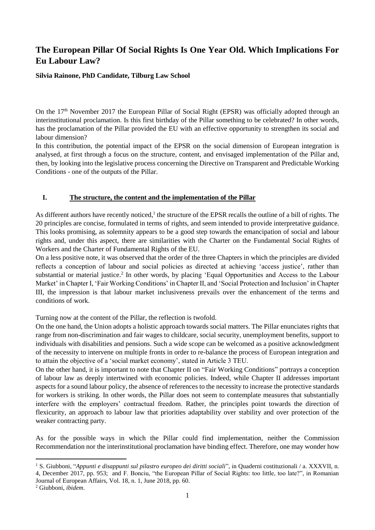# **The European Pillar Of Social Rights Is One Year Old. Which Implications For Eu Labour Law?**

### **Silvia Rainone, PhD Candidate, Tilburg Law School**

On the 17<sup>th</sup> November 2017 the European Pillar of Social Right (EPSR) was officially adopted through an interinstitutional proclamation. Is this first birthday of the Pillar something to be celebrated? In other words, has the proclamation of the Pillar provided the EU with an effective opportunity to strengthen its social and labour dimension?

In this contribution, the potential impact of the EPSR on the social dimension of European integration is analysed, at first through a focus on the structure, content, and envisaged implementation of the Pillar and, then, by looking into the legislative process concerning the Directive on Transparent and Predictable Working Conditions - one of the outputs of the Pillar.

## **I. The structure, the content and the implementation of the Pillar**

As different authors have recently noticed, $<sup>1</sup>$  the structure of the EPSR recalls the outline of a bill of rights. The</sup> 20 principles are concise, formulated in terms of rights, and seem intended to provide interpretative guidance. This looks promising, as solemnity appears to be a good step towards the emancipation of social and labour rights and, under this aspect, there are similarities with the Charter on the Fundamental Social Rights of Workers and the Charter of Fundamental Rights of the EU.

On a less positive note, it was observed that the order of the three Chapters in which the principles are divided reflects a conception of labour and social policies as directed at achieving 'access justice', rather than substantial or material justice.<sup>2</sup> In other words, by placing 'Equal Opportunities and Access to the Labour Market' in Chapter I, 'Fair Working Conditions' in Chapter II, and 'Social Protection and Inclusion' in Chapter III, the impression is that labour market inclusiveness prevails over the enhancement of the terms and conditions of work.

Turning now at the content of the Pillar, the reflection is twofold.

On the one hand, the Union adopts a holistic approach towards social matters. The Pillar enunciates rights that range from non-discrimination and fair wages to childcare, social security, unemployment benefits, support to individuals with disabilities and pensions. Such a wide scope can be welcomed as a positive acknowledgment of the necessity to intervene on multiple fronts in order to re-balance the process of European integration and to attain the objective of a 'social market economy', stated in Article 3 TEU.

On the other hand, it is important to note that Chapter II on "Fair Working Conditions" portrays a conception of labour law as deeply intertwined with economic policies. Indeed, while Chapter II addresses important aspects for a sound labour policy, the absence of references to the necessity to increase the protective standards for workers is striking. In other words, the Pillar does not seem to contemplate measures that substantially interfere with the employers' contractual freedom. Rather, the principles point towards the direction of flexicurity, an approach to labour law that priorities adaptability over stability and over protection of the weaker contracting party.

As for the possible ways in which the Pillar could find implementation, neither the Commission Recommendation nor the interinstitutional proclamation have binding effect. Therefore, one may wonder how

**.** 

<sup>1</sup> S. Giubboni, "*Appunti e disappunti sul pilastro europeo dei diritti sociali*", in Quaderni costituzionali / a. XXXVII, n. 4, December 2017, pp. 953; and F. Bonciu, "the European Pillar of Social Rights: too little, too late?", in Romanian Journal of European Affairs, Vol. 18, n. 1, June 2018, pp. 60.

<sup>2</sup> Giubboni, *ibidem*.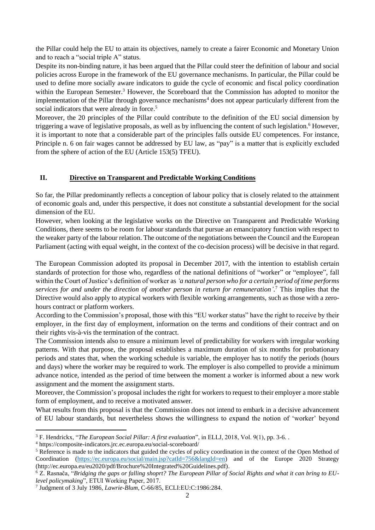the Pillar could help the EU to attain its objectives, namely to create a fairer Economic and Monetary Union and to reach a "social triple A" status.

Despite its non-binding nature, it has been argued that the Pillar could steer the definition of labour and social policies across Europe in the framework of the EU governance mechanisms. In particular, the Pillar could be used to define more socially aware indicators to guide the cycle of economic and fiscal policy coordination within the European Semester.<sup>3</sup> However, the Scoreboard that the Commission has adopted to monitor the implementation of the Pillar through governance mechanisms<sup>4</sup> does not appear particularly different from the social indicators that were already in force.<sup>5</sup>

Moreover, the 20 principles of the Pillar could contribute to the definition of the EU social dimension by triggering a wave of legislative proposals, as well as by influencing the content of such legislation.<sup>6</sup> However, it is important to note that a considerable part of the principles falls outside EU competences. For instance, Principle n. 6 on fair wages cannot be addressed by EU law, as "pay" is a matter that is explicitly excluded from the sphere of action of the EU (Article 153(5) TFEU).

## **II. Directive on Transparent and Predictable Working Conditions**

So far, the Pillar predominantly reflects a conception of labour policy that is closely related to the attainment of economic goals and, under this perspective, it does not constitute a substantial development for the social dimension of the EU.

However, when looking at the legislative works on the Directive on Transparent and Predictable Working Conditions, there seems to be room for labour standards that pursue an emancipatory function with respect to the weaker party of the labour relation. The outcome of the negotiations between the Council and the European Parliament (acting with equal weight, in the context of the co-decision process) will be decisive in that regard.

The European Commission adopted its proposal in December 2017, with the intention to establish certain standards of protection for those who, regardless of the national definitions of "worker" or "employee", fall within the Court of Justice's definition of worker as *'a natural person who for a certain period of time performs services for and under the direction of another person in return for remuneration'.* <sup>7</sup> This implies that the Directive would also apply to atypical workers with flexible working arrangements, such as those with a zerohours contract or platform workers.

According to the Commission's proposal, those with this "EU worker status" have the right to receive by their employer, in the first day of employment, information on the terms and conditions of their contract and on their rights vis-à-vis the termination of the contract.

The Commission intends also to ensure a minimum level of predictability for workers with irregular working patterns. With that purpose, the proposal establishes a maximum duration of six months for probationary periods and states that, when the working schedule is variable, the employer has to notify the periods (hours and days) where the worker may be required to work. The employer is also compelled to provide a minimum advance notice, intended as the period of time between the moment a worker is informed about a new work assignment and the moment the assignment starts.

Moreover, the Commission's proposal includes the right for workers to request to their employer a more stable form of employment, and to receive a motivated answer.

What results from this proposal is that the Commission does not intend to embark in a decisive advancement of EU labour standards, but nevertheless shows the willingness to expand the notion of 'worker' beyond

<sup>4</sup> https://composite-indicators.jrc.ec.europa.eu/social-scoreboard/

1

<sup>3</sup> F. Hendrickx, "*The European Social Pillar: A first evaluation*", in ELLJ, 2018, Vol. 9(1), pp. 3-6. .

<sup>&</sup>lt;sup>5</sup> Reference is made to the indicators that guided the cycles of policy coordination in the context of the Open Method of Coordination [\(https://ec.europa.eu/social/main.jsp?catId=756&langId=en\)](https://ec.europa.eu/social/main.jsp?catId=756&langId=en) and of the Europe 2020 Strategy (http://ec.europa.eu/eu2020/pdf/Brochure%20Integrated%20Guidelines.pdf).

<sup>6</sup> Z. Rasnača, "*Bridging the gaps or falling shoprt? The European Pillar of Social Rights and what it can bring to EUlevel policymaking*", ETUI Working Paper, 2017.

<sup>7</sup> Judgment of 3 July 1986, *Lawrie-Blum*, C-66/85, ECLI:EU:C:1986:284.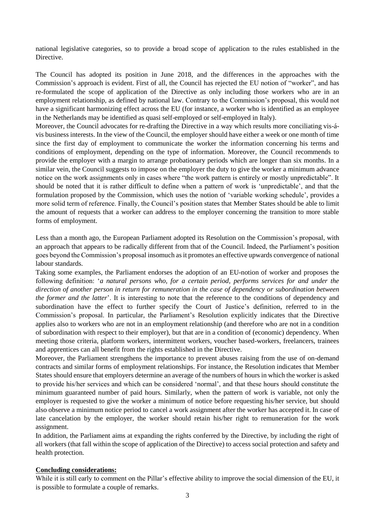national legislative categories, so to provide a broad scope of application to the rules established in the **Directive** 

The Council has adopted its position in June 2018, and the differences in the approaches with the Commission's approach is evident. First of all, the Council has rejected the EU notion of "worker", and has re-formulated the scope of application of the Directive as only including those workers who are in an employment relationship, as defined by national law. Contrary to the Commission's proposal, this would not have a significant harmonizing effect across the EU (for instance, a worker who is identified as an employee in the Netherlands may be identified as quasi self-employed or self-employed in Italy).

Moreover, the Council advocates for re-drafting the Directive in a way which results more conciliating vis-ávis business interests. In the view of the Council, the employer should have either a week or one month of time since the first day of employment to communicate the worker the information concerning his terms and conditions of employment, depending on the type of information. Moreover, the Council recommends to provide the employer with a margin to arrange probationary periods which are longer than six months. In a similar vein, the Council suggests to impose on the employer the duty to give the worker a minimum advance notice on the work assignments only in cases where "the work pattern is entirely or mostly unpredictable". It should be noted that it is rather difficult to define when a pattern of work is 'unpredictable', and that the formulation proposed by the Commission, which uses the notion of 'variable working schedule', provides a more solid term of reference. Finally, the Council's position states that Member States should be able to limit the amount of requests that a worker can address to the employer concerning the transition to more stable forms of employment.

Less than a month ago, the European Parliament adopted its Resolution on the Commission's proposal, with an approach that appears to be radically different from that of the Council. Indeed, the Parliament's position goes beyond the Commission's proposal insomuch as it promotes an effective upwards convergence of national labour standards.

Taking some examples, the Parliament endorses the adoption of an EU-notion of worker and proposes the following definition: '*a natural persons who, for a certain period, performs services for and under the direction of another person in return for remuneration in the case of dependency or subordination between the former and the latter*'. It is interesting to note that the reference to the conditions of dependency and subordination have the effect to further specify the Court of Justice's definition, referred to in the Commission's proposal. In particular, the Parliament's Resolution explicitly indicates that the Directive applies also to workers who are not in an employment relationship (and therefore who are not in a condition of subordination with respect to their employer), but that are in a condition of (economic) dependency. When meeting those criteria, platform workers, intermittent workers, voucher based-workers, freelancers, trainees and apprentices can all benefit from the rights established in the Directive.

Moreover, the Parliament strengthens the importance to prevent abuses raising from the use of on-demand contracts and similar forms of employment relationships. For instance, the Resolution indicates that Member States should ensure that employers determine an average of the numbers of hours in which the worker is asked to provide his/her services and which can be considered 'normal', and that these hours should constitute the minimum guaranteed number of paid hours. Similarly, when the pattern of work is variable, not only the employer is requested to give the worker a minimum of notice before requesting his/her service, but should also observe a minimum notice period to cancel a work assignment after the worker has accepted it. In case of late cancelation by the employer, the worker should retain his/her right to remuneration for the work assignment.

In addition, the Parliament aims at expanding the rights conferred by the Directive, by including the right of all workers (that fall within the scope of application of the Directive) to access social protection and safety and health protection.

#### **Concluding considerations:**

While it is still early to comment on the Pillar's effective ability to improve the social dimension of the EU, it is possible to formulate a couple of remarks.